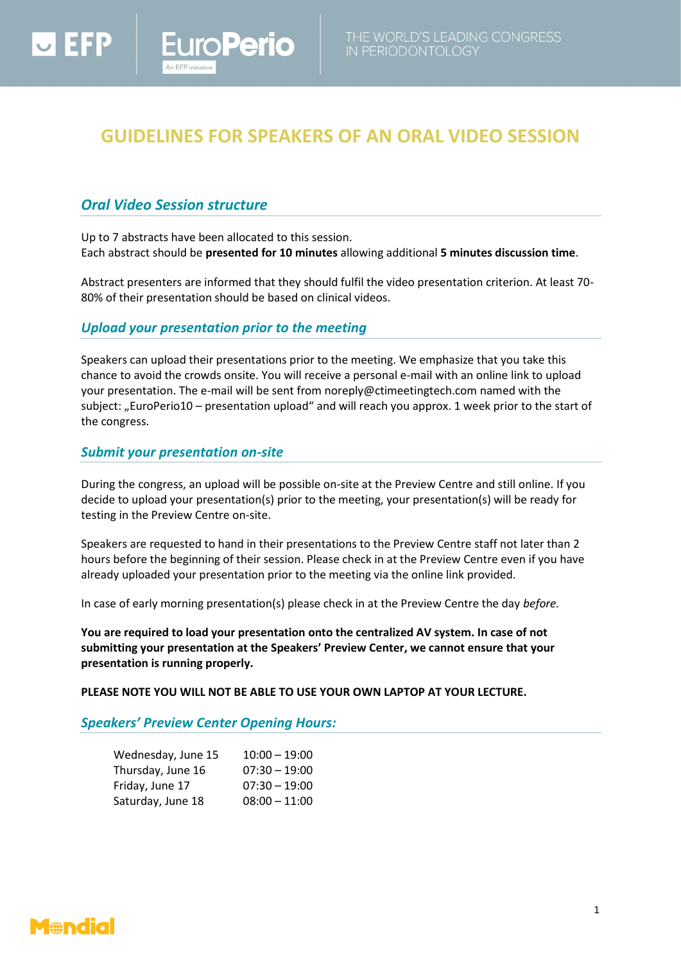# **GUIDELINES FOR SPEAKERS OF AN ORAL VIDEO SESSION**

## *Oral Video Session structure*

 $\overline{\phantom{a}}$  denote

Up to 7 abstracts have been allocated to this session. Each abstract should be **presented for 10 minutes** allowing additional **5 minutes discussion time**.

Abstract presenters are informed that they should fulfil the video presentation criterion. At least 70- 80% of their presentation should be based on clinical videos.

### *Upload your presentation prior to the meeting*

**Perio** 

Speakers can upload their presentations prior to the meeting. We emphasize that you take this chance to avoid the crowds onsite. You will receive a personal e-mail with an online link to upload your presentation. The e-mail will be sent fro[m noreply@ctimeetingtech.com](mailto:noreply@ctimeetingtech.com) named with the subject: "EuroPerio10 – presentation upload" and will reach you approx. 1 week prior to the start of the congress.

### *Submit your presentation on-site*

During the congress, an upload will be possible on-site at the Preview Centre and still online. If you decide to upload your presentation(s) prior to the meeting, your presentation(s) will be ready for testing in the Preview Centre on-site.

Speakers are requested to hand in their presentations to the Preview Centre staff not later than 2 hours before the beginning of their session. Please check in at the Preview Centre even if you have already uploaded your presentation prior to the meeting via the online link provided.

In case of early morning presentation(s) please check in at the Preview Centre the day *before.*

**You are required to load your presentation onto the centralized AV system. In case of not submitting your presentation at the Speakers' Preview Center, we cannot ensure that your presentation is running properly.**

**PLEASE NOTE YOU WILL NOT BE ABLE TO USE YOUR OWN LAPTOP AT YOUR LECTURE.**

### *Speakers' Preview Center Opening Hours:*

| Wednesday, June 15 | $10:00 - 19:00$ |
|--------------------|-----------------|
| Thursday, June 16  | $07:30 - 19:00$ |
| Friday, June 17    | $07:30 - 19:00$ |
| Saturday, June 18  | $08:00 - 11:00$ |